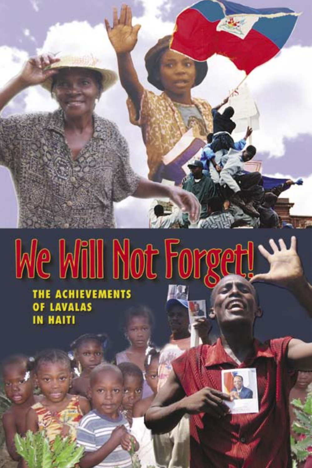

# Me Mill Not Forget!

THE ACHIEVEMENTS<br>OF LAVALAS<br>IN HAITI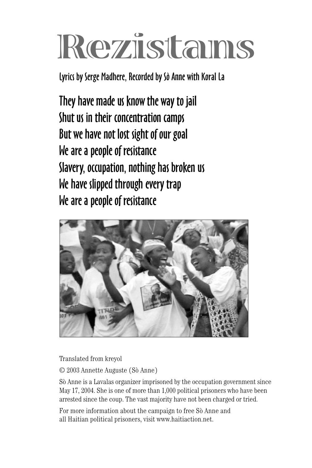# **Rezistans**

Lyrics by Serge Madhere, Recorded by Sò Anne with Koral La

They have made us know the way to jail Shut us in their concentration camps But we have not lost sight of our goal We are a people of resistance Slavery, occupation, nothing has broken us We have slipped through every trap We are a people of resistance



Translated from kreyol

© 2003 Annette Auguste (Sò Anne)

Sò Anne is a Lavalas organizer imprisoned by the occupation government since May 17, 2004. She is one of more than 1,000 political prisoners who have been arrested since the coup. The vast majority have not been charged or tried.

For more information about the campaign to free Sò Anne and all Haitian political prisoners, visit www.haitiaction.net.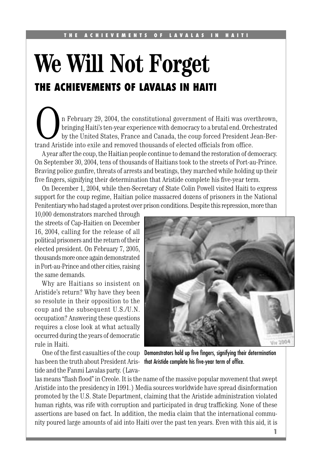## **We Will Not Forget THE ACHIEVEMENTS OF LAVALAS IN HAITI**

In February 29, 2004, the constitutional government of Haiti was overthrown, bringing Haiti's ten-year experience with democracy to a brutal end. Orchestrated by the United States, France and Canada, the coup forced Presid bringing Haiti's ten-year experience with democracy to a brutal end. Orchestrated by the United States, France and Canada, the coup forced President Jean-Bertrand Aristide into exile and removed thousands of elected officials from office.

A year after the coup, the Haitian people continue to demand the restoration of democracy. On September 30, 2004, tens of thousands of Haitians took to the streets of Port-au-Prince. Braving police gunfire, threats of arrests and beatings, they marched while holding up their five fingers, signifying their determination that Aristide complete his five-year term.

On December 1, 2004, while then-Secretary of State Colin Powell visited Haiti to express support for the coup regime, Haitian police massacred dozens of prisoners in the National Penitentiary who had staged a protest over prison conditions. Despite this repression, more than

10,000 demonstrators marched through the streets of Cap-Haitien on December 16, 2004, calling for the release of all political prisoners and the return of their elected president. On February 7, 2005, thousands more once again demonstrated in Port-au-Prince and other cities, raising the same demands.

Why are Haitians so insistent on Aristide's return? Why have they been so resolute in their opposition to the coup and the subsequent U.S./U.N. occupation? Answering these questions requires a close look at what actually occurred during the years of democratic rule in Haiti.

has been the truth about President Aris- that Aristide complete his five-year term of office. tide and the Fanmi Lavalas party. (Lava-



One of the first casualties of the coup Demonstrators hold up five fingers, signifying their determination

las means "flash flood" in Creole. It is the name of the massive popular movement that swept Aristide into the presidency in 1991.) Media sources worldwide have spread disinformation promoted by the U.S. State Department, claiming that the Aristide administration violated human rights, was rife with corruption and participated in drug trafficking. None of these assertions are based on fact. In addition, the media claim that the international community poured large amounts of aid into Haiti over the past ten years. Even with this aid, it is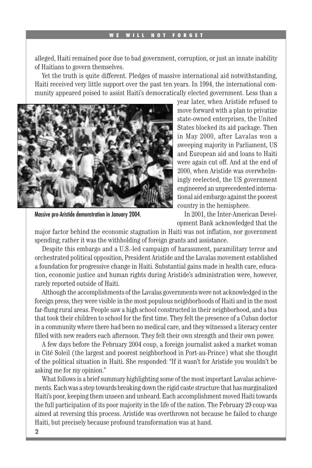alleged, Haiti remained poor due to bad government, corruption, or just an innate inability of Haitians to govern themselves.

Yet the truth is quite different. Pledges of massive international aid notwithstanding, Haiti received very little support over the past ten years. In 1994, the international community appeared poised to assist Haiti's democratically elected government. Less than a



Massive pro-Aristide demonstration in January 2004.

year later, when Aristide refused to move forward with a plan to privatize state-owned enterprises, the United States blocked its aid package. Then in May 2000, after Lavalas won a sweeping majority in Parliament, US and European aid and loans to Haiti were again cut off. And at the end of 2000, when Aristide was overwhelmingly reelected, the US government engineered an unprecedented international aid embargo against the poorest country in the hemisphere.

In 2001, the Inter-American Development Bank acknowledged that the

major factor behind the economic stagnation in Haiti was not inflation, nor government spending; rather it was the withholding of foreign grants and assistance.

Despite this embargo and a U.S.-led campaign of harassment, paramilitary terror and orchestrated political opposition, President Aristide and the Lavalas movement established a foundation for progressive change in Haiti. Substantial gains made in health care, education, economic justice and human rights during Aristide's administration were, however, rarely reported outside of Haiti.

Although the accomplishments of the Lavalas governments were not acknowledged in the foreign press, they were visible in the most populous neighborhoods of Haiti and in the most far-flung rural areas. People saw a high school constructed in their neighborhood, and a bus that took their children to school for the first time. They felt the presence of a Cuban doctor in a community where there had been no medical care, and they witnessed a literacy center filled with new readers each afternoon. They felt their own strength and their own power.

A few days before the February 2004 coup, a foreign journalist asked a market woman in Cité Soleil (the largest and poorest neighborhood in Port-au-Prince) what she thought of the political situation in Haiti. She responded: "If it wasn't for Aristide you wouldn't be asking me for my opinion."

What follows is a brief summary highlighting some of the most important Lavalas achievements. Each was a step towards breaking down the rigid caste structure that has marginalized Haiti's poor, keeping them unseen and unheard. Each accomplishment moved Haiti towards the full participation of its poor majority in the life of the nation. The February 29 coup was aimed at reversing this process. Aristide was overthrown not because he failed to change Haiti, but precisely because profound transformation was at hand.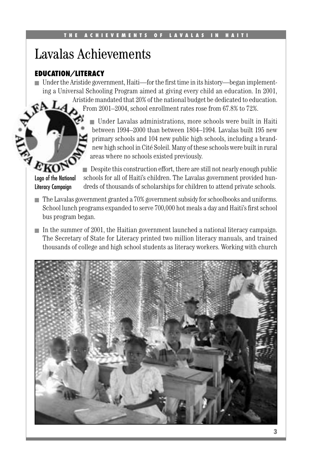### Lavalas Achievements

#### **EDUCATION/LITERACY**

■ Under the Aristide government, Haiti—for the first time in its history—began implementing a Universal Schooling Program aimed at giving every child an education. In 2001,

> Aristide mandated that 20% of the national budget be dedicated to education. From 2001–2004, school enrollment rates rose from 67.8% to 72%.

■ Under Lavalas administrations, more schools were built in Haiti between 1994–2000 than between 1804–1994. Lavalas built 195 new primary schools and 104 new public high schools, including a brandnew high school in Cité Soleil. Many of these schools were built in rural areas where no schools existed previously.

EKOT Logo of the National Literacy Campaign

■ Despite this construction effort, there are still not nearly enough public schools for all of Haiti's children. The Lavalas government provided hundreds of thousands of scholarships for children to attend private schools.

- The Lavalas government granted a 70% government subsidy for schoolbooks and uniforms. School lunch programs expanded to serve 700,000 hot meals a day and Haiti's first school bus program began.
- In the summer of 2001, the Haitian government launched a national literacy campaign. The Secretary of State for Literacy printed two million literacy manuals, and trained thousands of college and high school students as literacy workers. Working with church

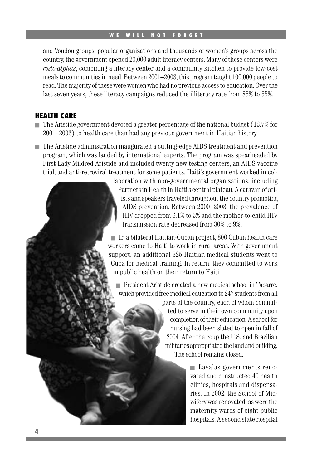and Voudou groups, popular organizations and thousands of women's groups across the country, the government opened 20,000 adult literacy centers. Many of these centers were *resto-alphas*, combining a literacy center and a community kitchen to provide low-cost meals to communities in need. Between 2001–2003, this program taught 100,000 people to read. The majority of these were women who had no previous access to education. Over the last seven years, these literacy campaigns reduced the illiteracy rate from 85% to 55%.

#### **HEALTH CARE**

- The Aristide government devoted a greater percentage of the national budget (13.7% for 2001–2006) to health care than had any previous government in Haitian history.
- The Aristide administration inaugurated a cutting-edge AIDS treatment and prevention program, which was lauded by international experts. The program was spearheaded by First Lady Mildred Aristide and included twenty new testing centers, an AIDS vaccine trial, and anti-retroviral treatment for some patients. Haiti's government worked in col-

laboration with non-governmental organizations, including Partners in Health in Haiti's central plateau. A caravan of artists and speakers traveled throughout the country promoting AIDS prevention. Between 2000–2003, the prevalence of HIV dropped from 6.1% to 5% and the mother-to-child HIV transmission rate decreased from 30% to 9%.

■ In a bilateral Haitian-Cuban project, 800 Cuban health care workers came to Haiti to work in rural areas. With government support, an additional 325 Haitian medical students went to Cuba for medical training. In return, they committed to work in public health on their return to Haiti.

■ President Aristide created a new medical school in Tabarre, which provided free medical education to 247 students from all

> parts of the country, each of whom committed to serve in their own community upon completion of their education. A school for nursing had been slated to open in fall of 2004. After the coup the U.S. and Brazilian militaries appropriated the land and building. The school remains closed.

> > ■ Lavalas governments renovated and constructed 40 health clinics, hospitals and dispensaries. In 2002, the School of Midwifery was renovated, as were the maternity wards of eight public hospitals. A second state hospital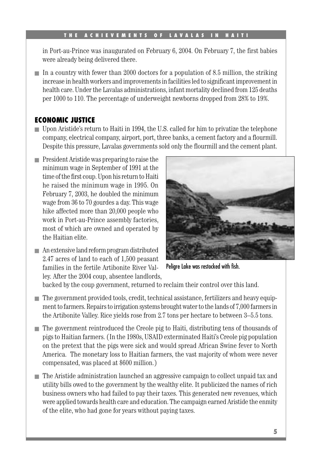in Port-au-Prince was inaugurated on February  $6, 2004$ . On February 7, the first babies were already being delivered there.

■ In a country with fewer than 2000 doctors for a population of 8.5 million, the striking increase in health workers and improvements in facilities led to significant improvement in health care. Under the Lavalas administrations, infant mortality declined from 125 deaths per 1000 to 110. The percentage of underweight newborns dropped from 28% to 19%.

#### **ECONOMIC JUSTICE**

- Upon Aristide's return to Haiti in 1994, the U.S. called for him to privatize the telephone company, electrical company, airport, port, three banks, a cement factory and a flourmill. Despite this pressure, Lavalas governments sold only the flourmill and the cement plant.
- President Aristide was preparing to raise the minimum wage in September of 1991 at the time of the first coup. Upon his return to Haiti he raised the minimum wage in 1995. On February 7, 2003, he doubled the minimum wage from 36 to 70 gourdes a day. This wage hike affected more than 20,000 people who work in Port-au-Prince assembly factories, most of which are owned and operated by the Haitian elite.
- An extensive land reform program distributed 2.47 acres of land to each of 1,500 peasant families in the fertile Artibonite River Valley. After the 2004 coup, absentee landlords,



Peligre Lake was restocked with fish.

backed by the coup government, returned to reclaim their control over this land.

- The government provided tools, credit, technical assistance, fertilizers and heavy equipment to farmers. Repairs to irrigation systems brought water to the lands of 7,000 farmers in the Artibonite Valley. Rice yields rose from 2.7 tons per hectare to between 3–5.5 tons.
- The government reintroduced the Creole pig to Haiti, distributing tens of thousands of pigs to Haitian farmers. (In the 1980s, USAID exterminated Haiti's Creole pig population on the pretext that the pigs were sick and would spread African Swine fever to North America. The monetary loss to Haitian farmers, the vast majority of whom were never compensated, was placed at \$600 million.)
- The Aristide administration launched an aggressive campaign to collect unpaid tax and utility bills owed to the government by the wealthy elite. It publicized the names of rich business owners who had failed to pay their taxes. This generated new revenues, which were applied towards health care and education. The campaign earned Aristide the enmity of the elite, who had gone for years without paying taxes.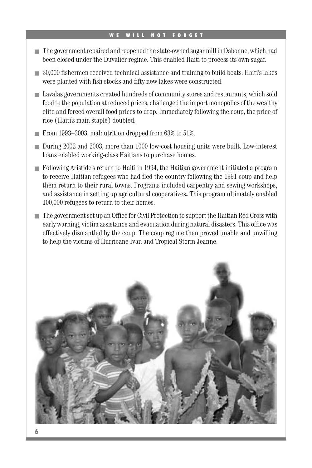- The government repaired and reopened the state-owned sugar mill in Dabonne, which had been closed under the Duvalier regime. This enabled Haiti to process its own sugar.
- 30,000 fishermen received technical assistance and training to build boats. Haiti's lakes were planted with fish stocks and fifty new lakes were constructed.
- Lavalas governments created hundreds of community stores and restaurants, which sold food to the population at reduced prices, challenged the import monopolies of the wealthy elite and forced overall food prices to drop. Immediately following the coup, the price of rice (Haiti's main staple) doubled.
- From 1993–2003, malnutrition dropped from 63% to 51%.
- During 2002 and 2003, more than 1000 low-cost housing units were built. Low-interest loans enabled working-class Haitians to purchase homes.
- Following Aristide's return to Haiti in 1994, the Haitian government initiated a program to receive Haitian refugees who had fled the country following the 1991 coup and help them return to their rural towns. Programs included carpentry and sewing workshops, and assistance in setting up agricultural cooperatives**.** This program ultimately enabled 100,000 refugees to return to their homes.
- The government set up an Office for Civil Protection to support the Haitian Red Cross with early warning, victim assistance and evacuation during natural disasters. This office was effectively dismantled by the coup. The coup regime then proved unable and unwilling to help the victims of Hurricane Ivan and Tropical Storm Jeanne.

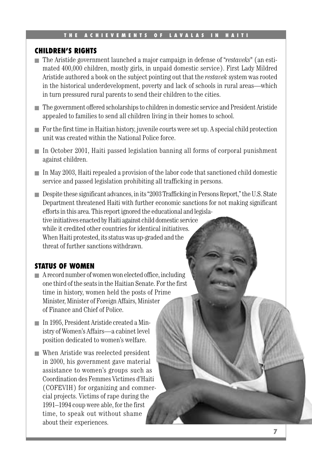#### **CHILDREN'S RIGHTS**

- The Aristide government launched a major campaign in defense of "*restaveks*" (an estimated 400,000 children, mostly girls, in unpaid domestic service). First Lady Mildred Aristide authored a book on the subject pointing out that the *restavek* system was rooted in the historical underdevelopment, poverty and lack of schools in rural areas—which in turn pressured rural parents to send their children to the cities.
- The government offered scholarships to children in domestic service and President Aristide appealed to families to send all children living in their homes to school.
- For the first time in Haitian history, juvenile courts were set up. A special child protection unit was created within the National Police force.
- In October 2001, Haiti passed legislation banning all forms of corporal punishment against children.
- In May 2003, Haiti repealed a provision of the labor code that sanctioned child domestic service and passed legislation prohibiting all trafficking in persons.
- Despite these significant advances, in its "2003 Trafficking in Persons Report," the U.S. State Department threatened Haiti with further economic sanctions for not making significant efforts in this area. This report ignored the educational and legislative initiatives enacted by Haiti against child domestic service while it credited other countries for identical initiatives. When Haiti protested, its status was up-graded and the threat of further sanctions withdrawn.

#### **STATUS OF WOMEN**

- A record number of women won elected office, including one third of the seats in the Haitian Senate. For the first time in history, women held the posts of Prime Minister, Minister of Foreign Affairs, Minister of Finance and Chief of Police.
- In 1995, President Aristide created a Ministry of Women's Affairs—a cabinet level position dedicated to women's welfare.
- When Aristide was reelected president in 2000, his government gave material assistance to women's groups such as Coordination des Femmes Victimes d'Haiti (COFEVIH) for organizing and commercial projects. Victims of rape during the 1991–1994 coup were able, for the first time, to speak out without shame about their experiences.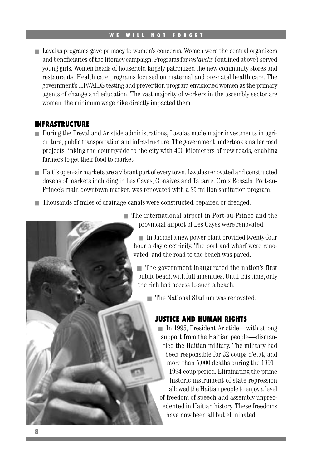■ Lavalas programs gave primacy to women's concerns. Women were the central organizers and beneficiaries of the literacy campaign. Programs for *restaveks* (outlined above) served young girls. Women heads of household largely patronized the new community stores and restaurants. Health care programs focused on maternal and pre-natal health care. The government's HIV/AIDS testing and prevention program envisioned women as the primary agents of change and education. The vast majority of workers in the assembly sector are women; the minimum wage hike directly impacted them.

#### **INFRASTRUCTURE**

- During the Preval and Aristide administrations, Lavalas made major investments in agriculture, public transportation and infrastructure. The government undertook smaller road projects linking the countryside to the city with 400 kilometers of new roads, enabling farmers to get their food to market.
- Haiti's open-air markets are a vibrant part of every town. Lavalas renovated and constructed dozens of markets including in Les Cayes, Gonaives and Tabarre. Croix Bossals, Port-au-Prince's main downtown market, was renovated with a \$5 million sanitation program.
- Thousands of miles of drainage canals were constructed, repaired or dredged.

■ The international airport in Port-au-Prince and the provincial airport of Les Cayes were renovated.

■ In Jacmel a new power plant provided twenty-four hour a day electricity. The port and wharf were renovated, and the road to the beach was paved.

■ The government inaugurated the nation's first public beach with full amenities. Until this time, only the rich had access to such a beach.

■ The National Stadium was renovated.

#### **JUSTICE AND HUMAN RIGHTS**

■ In 1995, President Aristide—with strong support from the Haitian people—dismantled the Haitian military. The military had been responsible for 32 coups d'etat, and more than 5,000 deaths during the 1991– 1994 coup period. Eliminating the prime historic instrument of state repression allowed the Haitian people to enjoy a level of freedom of speech and assembly unprecedented in Haitian history. These freedoms have now been all but eliminated.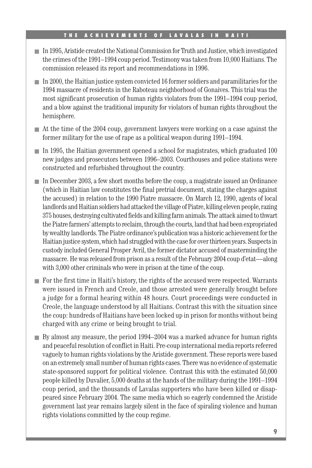- In 1995, Aristide created the National Commission for Truth and Justice, which investigated the crimes of the 1991–1994 coup period. Testimony was taken from 10,000 Haitians. The commission released its report and recommendations in 1996.
- In 2000, the Haitian justice system convicted 16 former soldiers and paramilitaries for the 1994 massacre of residents in the Raboteau neighborhood of Gonaives. This trial was the most significant prosecution of human rights violators from the 1991–1994 coup period, and a blow against the traditional impunity for violators of human rights throughout the hemisphere.
- At the time of the 2004 coup, government lawyers were working on a case against the former military for the use of rape as a political weapon during 1991–1994.
- In 1995, the Haitian government opened a school for magistrates, which graduated 100 new judges and prosecutors between 1996–2003. Courthouses and police stations were constructed and refurbished throughout the country.
- In December 2003, a few short months before the coup, a magistrate issued an Ordinance (which in Haitian law constitutes the final pretrial document, stating the charges against the accused) in relation to the 1990 Piatre massacre. On March 12, 1990, agents of local landlords and Haitian soldiers had attacked the village of Piatre, killing eleven people, razing 375 houses, destroying cultivated fields and killing farm animals. The attack aimed to thwart the Piatre farmers' attempts to reclaim, through the courts, land that had been expropriated by wealthy landlords. The Piatre ordinance's publication was a historic achievement for the Haitian justice system, which had struggled with the case for over thirteen years. Suspects in custody included General Prosper Avril, the former dictator accused of masterminding the massacre. He was released from prison as a result of the February 2004 coup d'etat—along with 3,000 other criminals who were in prison at the time of the coup.
- For the first time in Haiti's history, the rights of the accused were respected. Warrants were issued in French and Creole, and those arrested were generally brought before a judge for a formal hearing within 48 hours. Court proceedings were conducted in Creole, the language understood by all Haitians. Contrast this with the situation since the coup: hundreds of Haitians have been locked up in prison for months without being charged with any crime or being brought to trial.
- By almost any measure, the period 1994–2004 was a marked advance for human rights and peaceful resolution of conflict in Haiti. Pre-coup international media reports referred vaguely to human rights violations by the Aristide government. These reports were based on an extremely small number of human rights cases. There was no evidence of systematic state-sponsored support for political violence. Contrast this with the estimated 50,000 people killed by Duvalier, 5,000 deaths at the hands of the military during the 1991–1994 coup period, and the thousands of Lavalas supporters who have been killed or disappeared since February 2004. The same media which so eagerly condemned the Aristide government last year remains largely silent in the face of spiraling violence and human rights violations committed by the coup regime.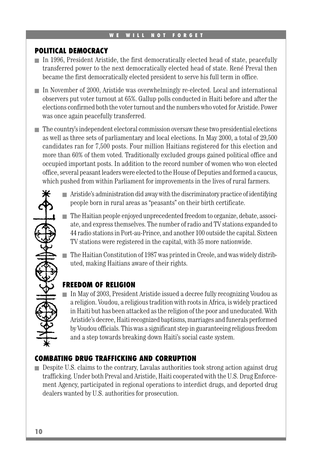#### **POLITICAL DEMOCRACY**

- In 1996, President Aristide, the first democratically elected head of state, peacefully transferred power to the next democratically elected head of state. René Preval then became the first democratically elected president to serve his full term in office.
- In November of 2000, Aristide was overwhelmingly re-elected. Local and international observers put voter turnout at 65%. Gallup polls conducted in Haiti before and after the elections confirmed both the voter turnout and the numbers who voted for Aristide. Power was once again peacefully transferred.
- The country's independent electoral commission oversaw these two presidential elections as well as three sets of parliamentary and local elections. In May 2000, a total of 29,500 candidates ran for 7,500 posts. Four million Haitians registered for this election and more than 60% of them voted. Traditionally excluded groups gained political office and occupied important posts. In addition to the record number of women who won elected office, several peasant leaders were elected to the House of Deputies and formed a caucus, which pushed from within Parliament for improvements in the lives of rural farmers.
	- Aristide's administration did away with the discriminatory practice of identifying people born in rural areas as "peasants" on their birth certificate.
	- The Haitian people enjoyed unprecedented freedom to organize, debate, associate, and express themselves. The number of radio and TV stations expanded to 44 radio stations in Port-au-Prince, and another 100 outside the capital. Sixteen TV stations were registered in the capital, with 35 more nationwide.
	- The Haitian Constitution of 1987 was printed in Creole, and was widely distributed, making Haitians aware of their rights.

#### **FREEDOM OF RELIGION**

■ In May of 2003, President Aristide issued a decree fully recognizing Voudou as a religion. Voudou, a religious tradition with roots in Africa, is widely practiced in Haiti but has been attacked as the religion of the poor and uneducated. With Aristide's decree, Haiti recognized baptisms, marriages and funerals performed by Voudou officials. This was a significant step in guaranteeing religious freedom and a step towards breaking down Haiti's social caste system.

#### **COMBATING DRUG TRAFFICKING AND CORRUPTION**

■ Despite U.S. claims to the contrary, Lavalas authorities took strong action against drug trafficking. Under both Preval and Aristide, Haiti cooperated with the U.S. Drug Enforcement Agency, participated in regional operations to interdict drugs, and deported drug dealers wanted by U.S. authorities for prosecution.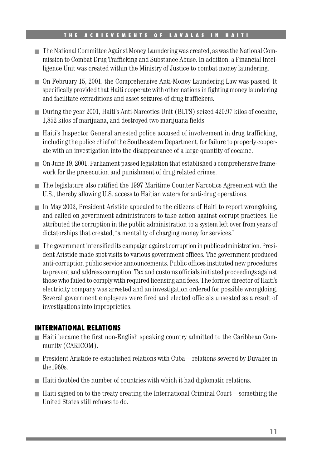- The National Committee Against Money Laundering was created, as was the National Commission to Combat Drug Trafficking and Substance Abuse. In addition, a Financial Intelligence Unit was created within the Ministry of Justice to combat money laundering.
- On February 15, 2001, the Comprehensive Anti-Money Laundering Law was passed. It specifically provided that Haiti cooperate with other nations in fighting money laundering and facilitate extraditions and asset seizures of drug traffickers.
- During the year 2001, Haiti's Anti-Narcotics Unit (BLTS) seized 420.97 kilos of cocaine, 1,852 kilos of marijuana, and destroyed two marijuana fields.
- Haiti's Inspector General arrested police accused of involvement in drug trafficking, including the police chief of the Southeastern Department, for failure to properly cooperate with an investigation into the disappearance of a large quantity of cocaine.
- On June 19, 2001, Parliament passed legislation that established a comprehensive framework for the prosecution and punishment of drug related crimes.
- The legislature also ratified the 1997 Maritime Counter Narcotics Agreement with the U.S., thereby allowing U.S. access to Haitian waters for anti-drug operations.
- In May 2002, President Aristide appealed to the citizens of Haiti to report wrongdoing, and called on government administrators to take action against corrupt practices. He attributed the corruption in the public administration to a system left over from years of dictatorships that created, "a mentality of charging money for services."
- The government intensified its campaign against corruption in public administration. President Aristide made spot visits to various government offices. The government produced anti-corruption public service announcements. Public offices instituted new procedures to prevent and address corruption. Tax and customs officials initiated proceedings against those who failed to comply with required licensing and fees. The former director of Haiti's electricity company was arrested and an investigation ordered for possible wrongdoing. Several government employees were fired and elected officials unseated as a result of investigations into improprieties.

#### **INTERNATIONAL RELATIONS**

- Haiti became the first non-English speaking country admitted to the Caribbean Community (CARICOM).
- President Aristide re-established relations with Cuba—relations severed by Duvalier in the1960s.
- Haiti doubled the number of countries with which it had diplomatic relations.
- Haiti signed on to the treaty creating the International Criminal Court—something the United States still refuses to do.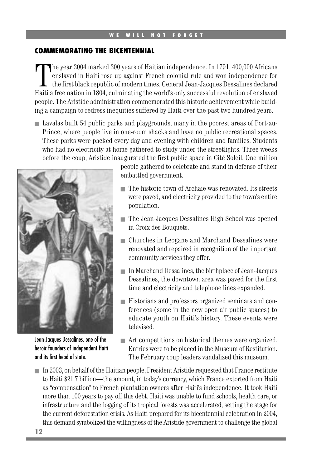#### **COMMEMORATING THE BICENTENNIAL**

The year 2004 marked 200 years of Haitian independence. In 1791, 400,000 Africans enslaved in Haiti rose up against French colonial rule and won independence for the first black republic of modern times. General Jean-Jacques Dessalines declared Haiti a free nation in 1804, culminating the world's only successful revolution of enslaved people. The Aristide administration commemorated this historic achievement while building a campaign to redress inequities suffered by Haiti over the past two hundred years.

■ Lavalas built 54 public parks and playgrounds, many in the poorest areas of Port-au-Prince, where people live in one-room shacks and have no public recreational spaces. These parks were packed every day and evening with children and families. Students who had no electricity at home gathered to study under the streetlights. Three weeks before the coup, Aristide inaugurated the first public space in Cité Soleil. One million



Jean-Jacques Dessalines, one of the heroic founders of independent Haiti and its first head of state.

people gathered to celebrate and stand in defense of their embattled government.

- The historic town of Archaie was renovated. Its streets were paved, and electricity provided to the town's entire population.
- The Jean-Jacques Dessalines High School was opened in Croix des Bouquets.
- Churches in Leogane and Marchand Dessalines were renovated and repaired in recognition of the important community services they offer.
- In Marchand Dessalines, the birthplace of Jean-Jacques Dessalines, the downtown area was paved for the first time and electricity and telephone lines expanded.
- Historians and professors organized seminars and conferences (some in the new open air public spaces) to educate youth on Haiti's history. These events were televised.
- Art competitions on historical themes were organized. Entries were to be placed in the Museum of Restitution. The February coup leaders vandalized this museum.
- In 2003, on behalf of the Haitian people, President Aristide requested that France restitute to Haiti \$21.7 billion—the amount, in today's currency, which France extorted from Haiti as "compensation" to French plantation owners after Haiti's independence. It took Haiti more than 100 years to pay off this debt. Haiti was unable to fund schools, health care, or infrastructure and the logging of its tropical forests was accelerated, setting the stage for the current deforestation crisis. As Haiti prepared for its bicentennial celebration in 2004, this demand symbolized the willingness of the Aristide government to challenge the global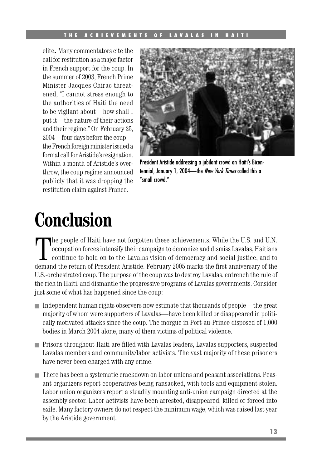#### THE ACHIEVEMENTS OF LAVALAS IN HAIT

elite**.** Many commentators cite the call for restitution as a major factor in French support for the coup. In the summer of 2003, French Prime Minister Jacques Chirac threatened, "I cannot stress enough to the authorities of Haiti the need to be vigilant about—how shall I put it—the nature of their actions and their regime." On February 25, 2004—four days before the coup the French foreign minister issued a formal call for Aristide's resignation. Within a month of Aristide's overthrow, the coup regime announced publicly that it was dropping the restitution claim against France.



President Aristide addressing a jubilant crowd on Haiti's Bicentennial, January 1, 2004—the New York Times called this a "small crowd."

### **Conclusion**

The people of Haiti have not forgotten these achievements. While the U.S. and U.N. occupation forces intensify their campaign to demonize and dismiss Lavalas, Haitians continue to hold on to the Lavalas vision of democracy he people of Haiti have not forgotten these achievements. While the U.S. and U.N. occupation forces intensify their campaign to demonize and dismiss Lavalas, Haitians continue to hold on to the Lavalas vision of democracy and social justice, and to U.S.-orchestrated coup. The purpose of the coup was to destroy Lavalas, entrench the rule of the rich in Haiti, and dismantle the progressive programs of Lavalas governments. Consider just some of what has happened since the coup:

- Independent human rights observers now estimate that thousands of people—the great majority of whom were supporters of Lavalas—have been killed or disappeared in politically motivated attacks since the coup. The morgue in Port-au-Prince disposed of 1,000 bodies in March 2004 alone, many of them victims of political violence.
- Prisons throughout Haiti are filled with Lavalas leaders, Lavalas supporters, suspected Lavalas members and community/labor activists. The vast majority of these prisoners have never been charged with any crime.
- There has been a systematic crackdown on labor unions and peasant associations. Peasant organizers report cooperatives being ransacked, with tools and equipment stolen. Labor union organizers report a steadily mounting anti-union campaign directed at the assembly sector. Labor activists have been arrested, disappeared, killed or forced into exile. Many factory owners do not respect the minimum wage, which was raised last year by the Aristide government.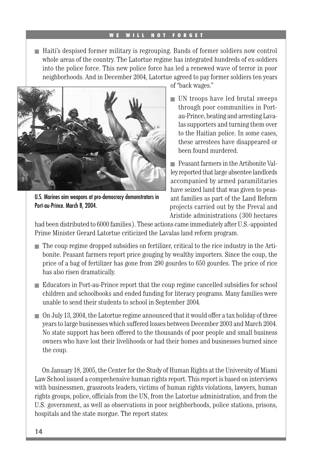■ Haiti's despised former military is regrouping. Bands of former soldiers now control whole areas of the country. The Latortue regime has integrated hundreds of ex-soldiers into the police force. This new police force has led a renewed wave of terror in poor neighborhoods. And in December 2004, Latortue agreed to pay former soldiers ten years



U.S. Marines aim weapons at pro-democracy demonstrators in Port-au-Prince. March 8, 2004.

of "back wages."

■ UN troops have led brutal sweeps through poor communities in Portau-Prince, beating and arresting Lavalas supporters and turning them over to the Haitian police. In some cases, these arrestees have disappeared or been found murdered.

■ Peasant farmers in the Artibonite Valley reported that large absentee landlords accompanied by armed paramilitaries have seized land that was given to peasant families as part of the Land Reform projects carried out by the Preval and Aristide administrations (300 hectares

had been distributed to 6000 families). These actions came immediately after U.S.-appointed Prime Minister Gerard Latortue criticized the Lavalas land reform program.

- The coup regime dropped subsidies on fertilizer, critical to the rice industry in the Artibonite. Peasant farmers report price gouging by wealthy importers. Since the coup, the price of a bag of fertilizer has gone from 290 gourdes to 650 gourdes. The price of rice has also risen dramatically.
- Educators in Port-au-Prince report that the coup regime cancelled subsidies for school children and schoolbooks and ended funding for literacy programs. Many families were unable to send their students to school in September 2004.
- On July 13, 2004, the Latortue regime announced that it would offer a tax holiday of three years to large businesses which suffered losses between December 2003 and March 2004. No state support has been offered to the thousands of poor people and small business owners who have lost their livelihoods or had their homes and businesses burned since the coup.

On January 18, 2005, the Center for the Study of Human Rights at the University of Miami Law School issued a comprehensive human rights report. This report is based on interviews with businessmen, grassroots leaders, victims of human rights violations, lawyers, human rights groups, police, officials from the UN, from the Latortue administration, and from the U.S. government, as well as observations in poor neighborhoods, police stations, prisons, hospitals and the state morgue. The report states: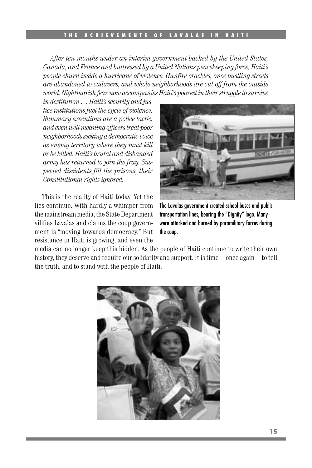*After ten months under an interim government backed by the United States, Canada, and France and buttressed by a United Nations peacekeeping force, Haiti's people churn inside a hurricane of violence. Gunfire crackles, once bustling streets are abandoned to cadavers, and whole neighborhoods are cut off from the outside world. Nightmarish fear now accompanies Haiti's poorest in their struggle to survive* 

*in destitution … Haiti's security and justice institutions fuel the cycle of violence. Summary executions are a police tactic, and even well meaning officers treat poor neighborhoods seeking a democratic voice as enemy territory where they must kill or be killed. Haiti's brutal and disbanded army has returned to join the fray. Suspected dissidents fill the prisons, their Constitutional rights ignored.* 

This is the reality of Haiti today. Yet the lies continue. With hardly a whimper from the mainstream media, the State Department vilifies Lavalas and claims the coup government is "moving towards democracy." But resistance in Haiti is growing, and even the



The Lavalas government created school buses and public transportation lines, bearing the "Dignity" logo. Many were attacked and burned by paramilitary forces during the coup.

media can no longer keep this hidden. As the people of Haiti continue to write their own history, they deserve and require our solidarity and support. It is time—once again—to tell the truth, and to stand with the people of Haiti.

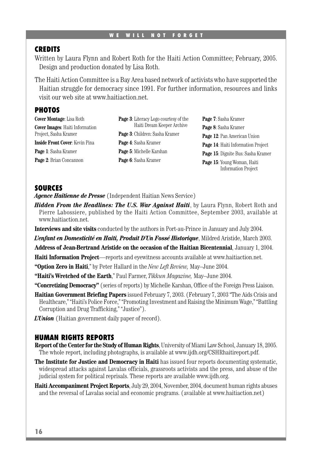#### WE WILL NOT FORGET

#### **CREDITS**

Written by Laura Flynn and Robert Roth for the Haiti Action Committee; February, 2005. Design and production donated by Lisa Roth.

The Haiti Action Committee is a Bay Area based network of activists who have supported the Haitian struggle for democracy since 1991. For further information, resources and links visit our web site at www.haitiaction.net.

#### **PHOTOS**

**Cover Montage**: Lisa Roth **Cover Images**: Haiti Information Project, Sasha Kramer **Inside Front Cover**: Kevin Pina

**Page 1**: Sasha Kramer **Page 2**: Brian Concannon

**Page 3**: Literacy Logo courtesy of the Haiti Dream Keeper Archive **Page 3**: Children: Sasha Kramer **Page 4**: Sasha Kramer **Page 5**: Michelle Karshan **Page 6**: Sasha Kramer

**Page 7**: Sasha Kramer **Page 8**: Sasha Kramer **Page 12**: Pan American Union **Page 14**: Haiti Information Project **Page 15**: Dignite Bus: Sasha Kramer **Page 15**: Young Woman, Haiti Information Project

#### **SOURCES**

*Agence Haitienne de Presse* (Independent Haitian News Service)

- *Hidden From the Headlines: The U.S. War Against Haiti*, by Laura Flynn, Robert Roth and Pierre Labossiere, published by the Haiti Action Committee, September 2003, available at www.haitiaction.net.
- **Interviews and site visits** conducted by the authors in Port-au-Prince in January and July 2004.
- *L'enfant en Domesticité en Haiti, Produit D'Un Fossé Historique*, Mildred Aristide, March 2003.
- **Address of Jean-Bertrand Aristide on the occasion of the Haitian Bicentennial**, January 1, 2004.

**Haiti Information Project**—reports and eyewitness accounts available at www.haitiaction.net.

- **"Option Zero in Haiti**," by Peter Hallard in the *New Left Review,* May–June 2004.
- **"Haiti's Wretched of the Earth**," Paul Farmer, *Tikkun Magazine,* May–June 2004.
- **"Concretizing Democracy"** (series of reports) by Michelle Karshan, Office of the Foreign Press Liaison.
- **Haitian Government Briefing Papers** issued February 7, 2003. (February 7, 2003 "The Aids Crisis and Healthcare," "Haiti's Police Force," "Promoting Investment and Raising the Minimum Wage," "Battling Corruption and Drug Trafficking," "Justice").
- *L'Union* (Haitian government daily paper of record).

#### **HUMAN RIGHTS REPORTS**

- **Report of the Center for the Study of Human Rights**, University of Miami Law School, January 18, 2005. The whole report, including photographs, is available at www.ijdh.org/CSHRhaitireport.pdf.
- **The Institute for Justice and Democracy in Haiti** has issued four reports documenting systematic, widespread attacks against Lavalas officials, grassroots activists and the press, and abuse of the judicial system for political reprisals. These reports are available www.ijdh.org.
- **Haiti Accompaniment Project Reports**, July 29, 2004, November, 2004, document human rights abuses and the reversal of Lavalas social and economic programs. (available at www.haitiaction.net)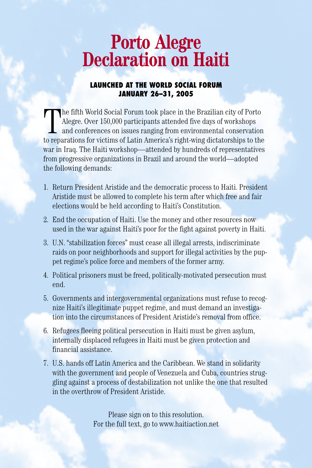# **Porto Alegre Declaration on Haiti**

#### **LAUNCHED AT THE WORLD SOCIAL FORUM JANUARY 26–31, 2005**

The fifth World Social Forum took place in the Brazilian city of Porto<br>Alegre. Over 150,000 participants attended five days of workshops<br>and conferences on issues ranging from environmental conservation<br>to reparations for he fifth World Social Forum took place in the Brazilian city of Porto Alegre. Over 150,000 participants attended five days of workshops and conferences on issues ranging from environmental conservation war in Iraq. The Haiti workshop—attended by hundreds of representatives from progressive organizations in Brazil and around the world—adopted the following demands:

- 1. Return President Aristide and the democratic process to Haiti. President Aristide must be allowed to complete his term after which free and fair elections would be held according to Haiti's Constitution.
- 2. End the occupation of Haiti. Use the money and other resources now used in the war against Haiti's poor for the fight against poverty in Haiti.
- 3. U.N. "stabilization forces" must cease all illegal arrests, indiscriminate raids on poor neighborhoods and support for illegal activities by the puppet regime's police force and members of the former army.
- 4. Political prisoners must be freed, politically-motivated persecution must end.
- 5. Governments and intergovernmental organizations must refuse to recognize Haiti's illegitimate puppet regime, and must demand an investigation into the circumstances of President Aristide's removal from office.
- 6. Refugees fleeing political persecution in Haiti must be given asylum, internally displaced refugees in Haiti must be given protection and financial assistance.
- 7. U.S. hands off Latin America and the Caribbean. We stand in solidarity with the government and people of Venezuela and Cuba, countries struggling against a process of destabilization not unlike the one that resulted in the overthrow of President Aristide.

Please sign on to this resolution. For the full text, go to www.haitiaction.net